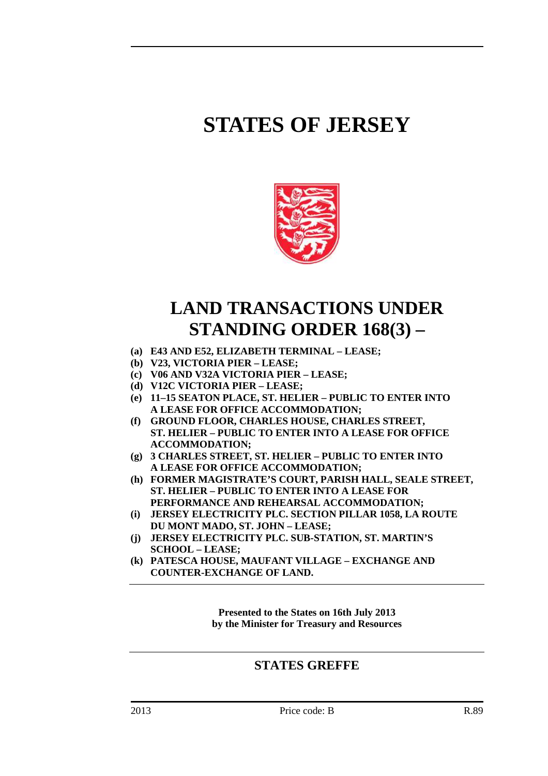# **STATES OF JERSEY**



# **LAND TRANSACTIONS UNDER STANDING ORDER 168(3) –**

- **(a) E43 AND E52, ELIZABETH TERMINAL LEASE;**
- **(b) V23, VICTORIA PIER LEASE;**
- **(c) V06 AND V32A VICTORIA PIER LEASE;**
- **(d) V12C VICTORIA PIER LEASE;**
- **(e) 11–15 SEATON PLACE, ST. HELIER PUBLIC TO ENTER INTO A LEASE FOR OFFICE ACCOMMODATION;**
- **(f) GROUND FLOOR, CHARLES HOUSE, CHARLES STREET, ST. HELIER – PUBLIC TO ENTER INTO A LEASE FOR OFFICE ACCOMMODATION;**
- **(g) 3 CHARLES STREET, ST. HELIER PUBLIC TO ENTER INTO A LEASE FOR OFFICE ACCOMMODATION;**
- **(h) FORMER MAGISTRATE'S COURT, PARISH HALL, SEALE STREET, ST. HELIER – PUBLIC TO ENTER INTO A LEASE FOR PERFORMANCE AND REHEARSAL ACCOMMODATION;**
- **(i) JERSEY ELECTRICITY PLC. SECTION PILLAR 1058, LA ROUTE DU MONT MADO, ST. JOHN – LEASE;**
- **(j) JERSEY ELECTRICITY PLC. SUB-STATION, ST. MARTIN'S SCHOOL – LEASE;**
- **(k) PATESCA HOUSE, MAUFANT VILLAGE EXCHANGE AND COUNTER-EXCHANGE OF LAND.**

**Presented to the States on 16th July 2013 by the Minister for Treasury and Resources** 

### **STATES GREFFE**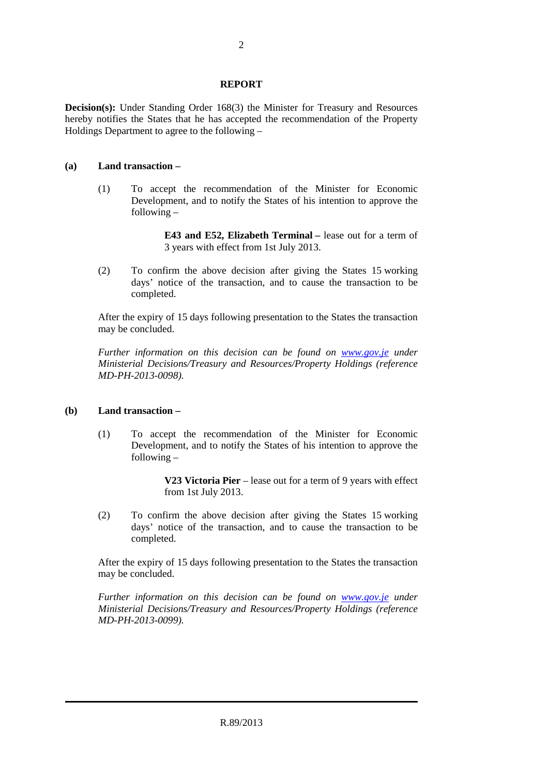#### **REPORT**

**Decision(s):** Under Standing Order 168(3) the Minister for Treasury and Resources hereby notifies the States that he has accepted the recommendation of the Property Holdings Department to agree to the following –

#### **(a) Land transaction –**

 (1) To accept the recommendation of the Minister for Economic Development, and to notify the States of his intention to approve the following –

> **E43 and E52, Elizabeth Terminal –** lease out for a term of 3 years with effect from 1st July 2013.

 (2) To confirm the above decision after giving the States 15 working days' notice of the transaction, and to cause the transaction to be completed.

 After the expiry of 15 days following presentation to the States the transaction may be concluded.

 *Further information on this decision can be found on www.gov.je under Ministerial Decisions/Treasury and Resources/Property Holdings (reference MD-PH-2013-0098).* 

#### **(b) Land transaction –**

 (1) To accept the recommendation of the Minister for Economic Development, and to notify the States of his intention to approve the following –

> **V23 Victoria Pier** – lease out for a term of 9 years with effect from 1st July 2013.

 (2) To confirm the above decision after giving the States 15 working days' notice of the transaction, and to cause the transaction to be completed.

 After the expiry of 15 days following presentation to the States the transaction may be concluded.

 *Further information on this decision can be found on www.gov.je under Ministerial Decisions/Treasury and Resources/Property Holdings (reference MD-PH-2013-0099).*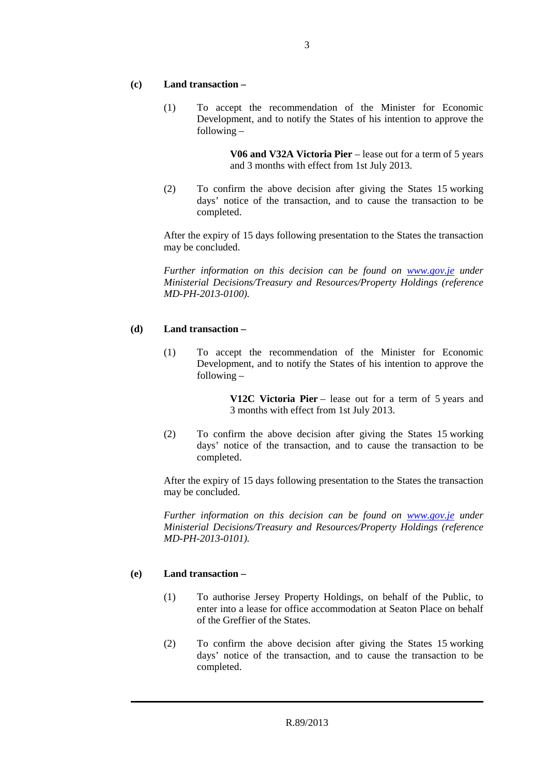#### **(c) Land transaction –**

 (1) To accept the recommendation of the Minister for Economic Development, and to notify the States of his intention to approve the following –

> **V06 and V32A Victoria Pier** – lease out for a term of 5 years and 3 months with effect from 1st July 2013.

 (2) To confirm the above decision after giving the States 15 working days' notice of the transaction, and to cause the transaction to be completed.

 After the expiry of 15 days following presentation to the States the transaction may be concluded.

 *Further information on this decision can be found on www.gov.je under Ministerial Decisions/Treasury and Resources/Property Holdings (reference MD-PH-2013-0100).* 

#### **(d) Land transaction –**

 (1) To accept the recommendation of the Minister for Economic Development, and to notify the States of his intention to approve the following –

> **V12C Victoria Pier** – lease out for a term of 5 years and 3 months with effect from 1st July 2013.

 (2) To confirm the above decision after giving the States 15 working days' notice of the transaction, and to cause the transaction to be completed.

 After the expiry of 15 days following presentation to the States the transaction may be concluded.

 *Further information on this decision can be found on www.gov.je under Ministerial Decisions/Treasury and Resources/Property Holdings (reference MD-PH-2013-0101).* 

#### **(e) Land transaction –**

- (1) To authorise Jersey Property Holdings, on behalf of the Public, to enter into a lease for office accommodation at Seaton Place on behalf of the Greffier of the States.
- (2) To confirm the above decision after giving the States 15 working days' notice of the transaction, and to cause the transaction to be completed.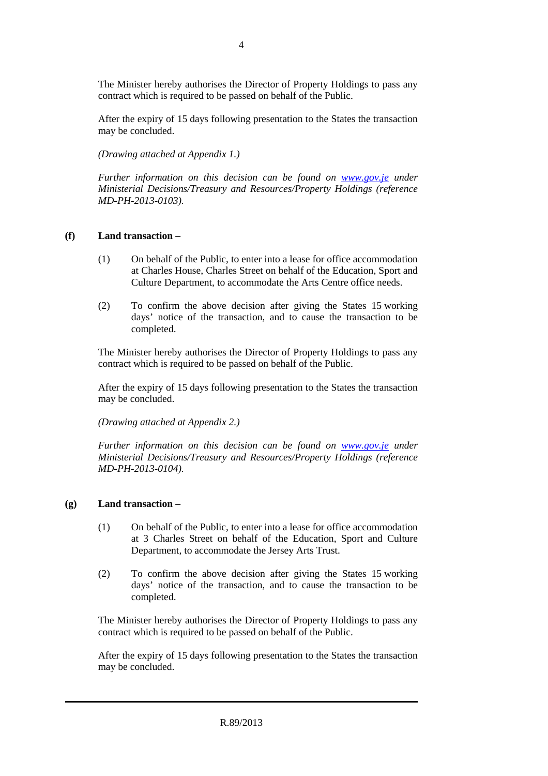The Minister hereby authorises the Director of Property Holdings to pass any contract which is required to be passed on behalf of the Public.

 After the expiry of 15 days following presentation to the States the transaction may be concluded.

 *(Drawing attached at Appendix 1.)* 

 *Further information on this decision can be found on www.gov.je under Ministerial Decisions/Treasury and Resources/Property Holdings (reference MD-PH-2013-0103).* 

#### **(f) Land transaction –**

- (1) On behalf of the Public, to enter into a lease for office accommodation at Charles House, Charles Street on behalf of the Education, Sport and Culture Department, to accommodate the Arts Centre office needs.
- (2) To confirm the above decision after giving the States 15 working days' notice of the transaction, and to cause the transaction to be completed.

 The Minister hereby authorises the Director of Property Holdings to pass any contract which is required to be passed on behalf of the Public.

 After the expiry of 15 days following presentation to the States the transaction may be concluded.

 *(Drawing attached at Appendix 2.)* 

 *Further information on this decision can be found on www.gov.je under Ministerial Decisions/Treasury and Resources/Property Holdings (reference MD-PH-2013-0104).* 

#### **(g) Land transaction –**

- (1) On behalf of the Public, to enter into a lease for office accommodation at 3 Charles Street on behalf of the Education, Sport and Culture Department, to accommodate the Jersey Arts Trust.
- (2) To confirm the above decision after giving the States 15 working days' notice of the transaction, and to cause the transaction to be completed.

 The Minister hereby authorises the Director of Property Holdings to pass any contract which is required to be passed on behalf of the Public.

 After the expiry of 15 days following presentation to the States the transaction may be concluded.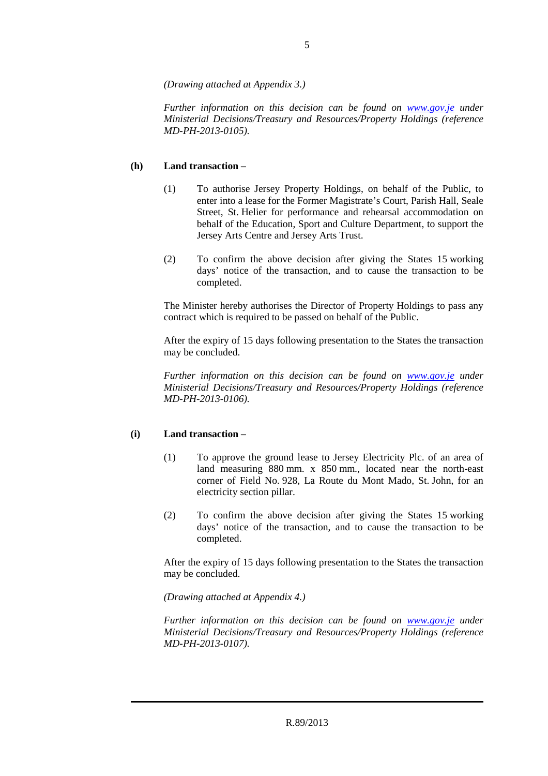*(Drawing attached at Appendix 3.)* 

*Further information on this decision can be found on www.gov.je under Ministerial Decisions/Treasury and Resources/Property Holdings (reference MD-PH-2013-0105).* 

#### **(h) Land transaction –**

- (1) To authorise Jersey Property Holdings, on behalf of the Public, to enter into a lease for the Former Magistrate's Court, Parish Hall, Seale Street, St. Helier for performance and rehearsal accommodation on behalf of the Education, Sport and Culture Department, to support the Jersey Arts Centre and Jersey Arts Trust.
- (2) To confirm the above decision after giving the States 15 working days' notice of the transaction, and to cause the transaction to be completed.

 The Minister hereby authorises the Director of Property Holdings to pass any contract which is required to be passed on behalf of the Public.

 After the expiry of 15 days following presentation to the States the transaction may be concluded.

 *Further information on this decision can be found on www.gov.je under Ministerial Decisions/Treasury and Resources/Property Holdings (reference MD-PH-2013-0106).* 

#### **(i) Land transaction –**

- (1) To approve the ground lease to Jersey Electricity Plc. of an area of land measuring 880 mm. x 850 mm., located near the north-east corner of Field No. 928, La Route du Mont Mado, St. John, for an electricity section pillar.
- (2) To confirm the above decision after giving the States 15 working days' notice of the transaction, and to cause the transaction to be completed.

 After the expiry of 15 days following presentation to the States the transaction may be concluded.

 *(Drawing attached at Appendix 4.)* 

 *Further information on this decision can be found on www.gov.je under Ministerial Decisions/Treasury and Resources/Property Holdings (reference MD-PH-2013-0107).*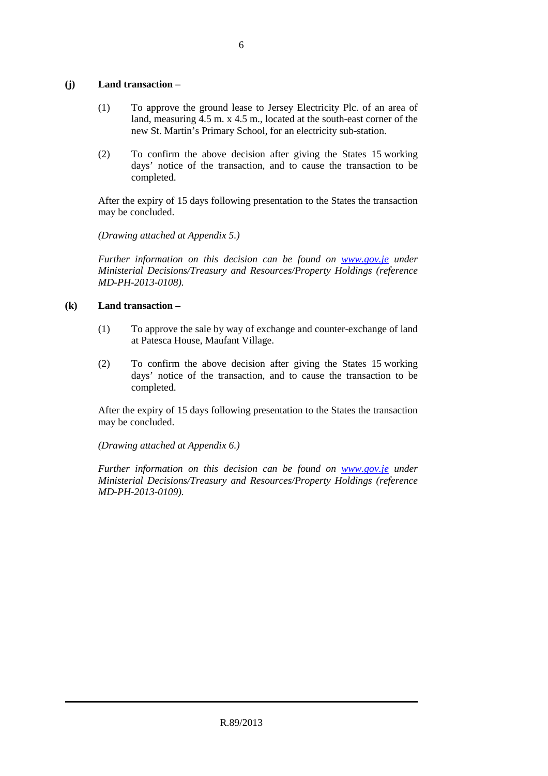#### **(j) Land transaction –**

- (1) To approve the ground lease to Jersey Electricity Plc. of an area of land, measuring 4.5 m. x 4.5 m., located at the south-east corner of the new St. Martin's Primary School, for an electricity sub-station.
- (2) To confirm the above decision after giving the States 15 working days' notice of the transaction, and to cause the transaction to be completed.

 After the expiry of 15 days following presentation to the States the transaction may be concluded.

 *(Drawing attached at Appendix 5.)* 

 *Further information on this decision can be found on www.gov.je under Ministerial Decisions/Treasury and Resources/Property Holdings (reference MD-PH-2013-0108).* 

#### **(k) Land transaction –**

- (1) To approve the sale by way of exchange and counter-exchange of land at Patesca House, Maufant Village.
- (2) To confirm the above decision after giving the States 15 working days' notice of the transaction, and to cause the transaction to be completed.

 After the expiry of 15 days following presentation to the States the transaction may be concluded.

 *(Drawing attached at Appendix 6.)* 

 *Further information on this decision can be found on www.gov.je under Ministerial Decisions/Treasury and Resources/Property Holdings (reference MD-PH-2013-0109).*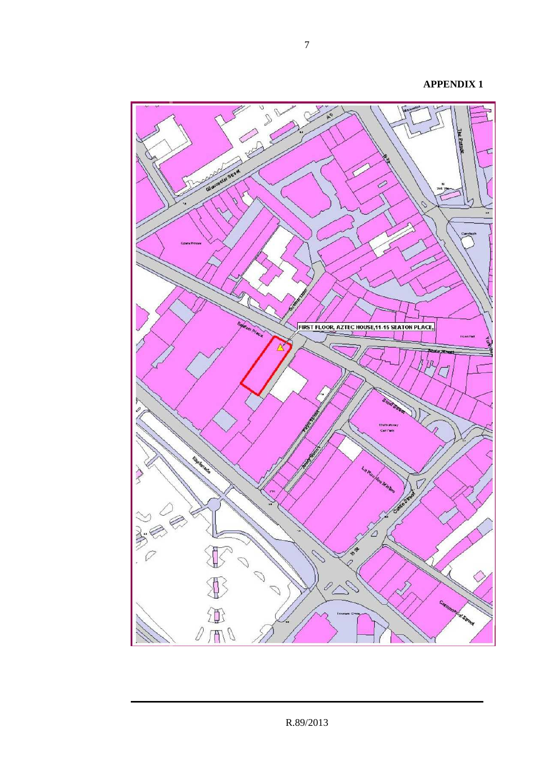Ê g  $\mathbf{Q}$ 0 FIRST FLOOR, AZTEC HOUSE, 11-15 SEATON PLACE, **Tesal** ŻЛ Multi-story<br>Cur Park X  $\overline{\mathcal{V}}$ **CONSTRUCTION**  $\mathcal{D}$  $\mathcal{D}$ 

7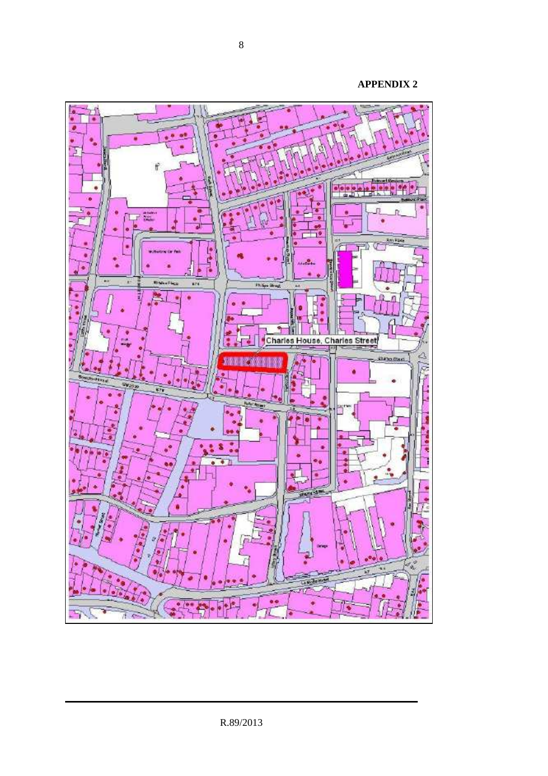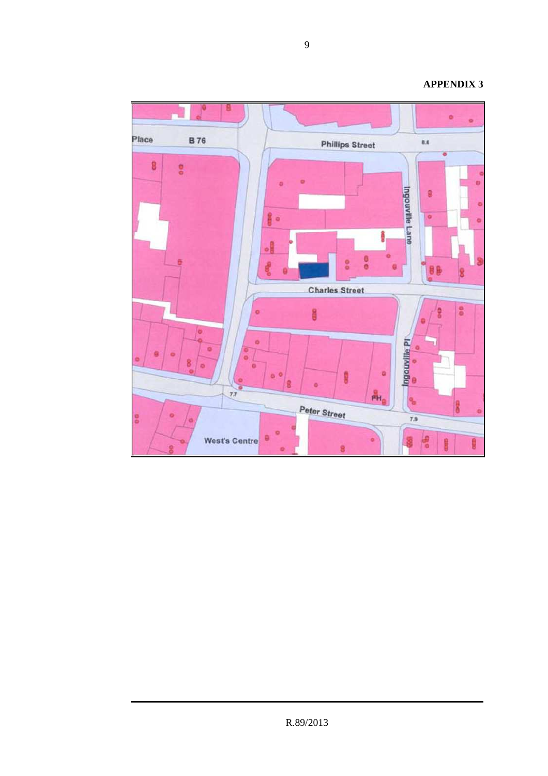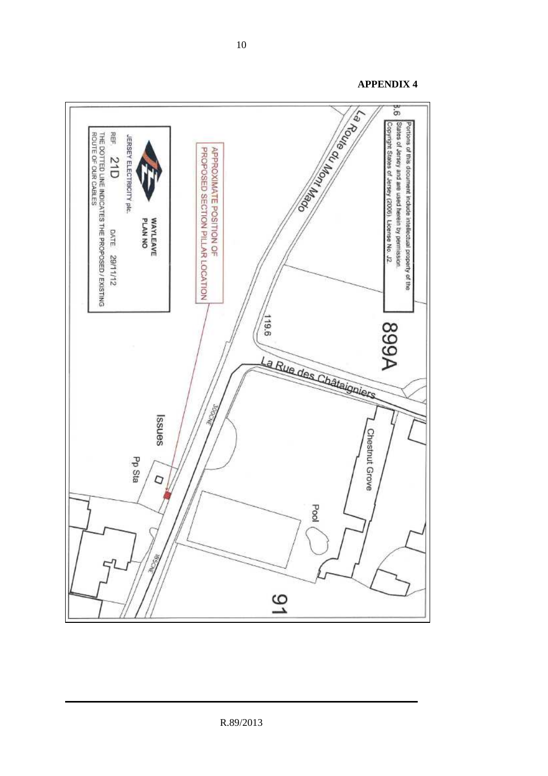Deep Liquid References 3.6 States of Jersey and are used herein by permission Portions of this document include intellectual property of the Copyright States of Jersey (2006). License No. J2 REF. THE DOTTED LINE INDICATES THE PROPOSED / EXISTING<br>ROUTE OF OUR CABLES JERSEY ELECTRICITY plc. PROPOSED SECTION PILLAR LOCATION APPROXIMATE POSITION OF  $51D$ WAYLEAVE<br>PLAN NO DATE 29/11/12  $119.6$ **A668** La Rue des Châtaigniers (šp senss Chestnut Grove Pp Sta Q Pool Š 91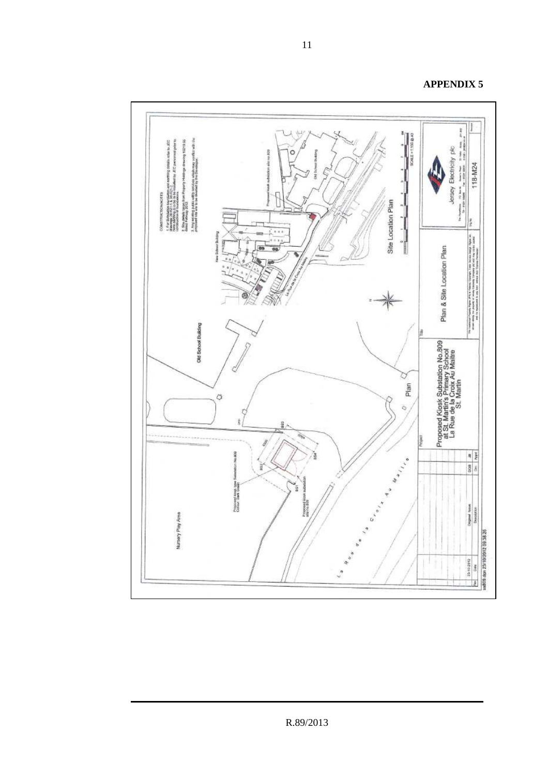

**APPENDIX 5**